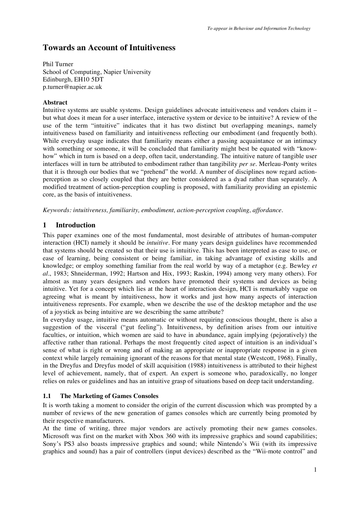# **Towards an Account of Intuitiveness**

Phil Turner School of Computing, Napier University Edinburgh, EH10 5DT p.turner@napier.ac.uk

# **Abstract**

Intuitive systems are usable systems. Design guidelines advocate intuitiveness and vendors claim it – but what does it mean for a user interface, interactive system or device to be intuitive? A review of the use of the term "intuitive" indicates that it has two distinct but overlapping meanings, namely intuitiveness based on familiarity and intuitiveness reflecting our embodiment (and frequently both). While everyday usage indicates that familiarity means either a passing acquaintance or an intimacy with something or someone, it will be concluded that familiarity might best be equated with "knowhow" which in turn is based on a deep, often tacit, understanding. The intuitive nature of tangible user interfaces will in turn be attributed to embodiment rather than tangibility *per se*. Merleau-Ponty writes that it is through our bodies that we "prehend" the world. A number of disciplines now regard actionperception as so closely coupled that they are better considered as a dyad rather than separately. A modified treatment of action-perception coupling is proposed, with familiarity providing an epistemic core, as the basis of intuitiveness.

*Keywords: intuitiveness, familiarity, embodiment, action-perception coupling, affordance.*

# **1 Introduction**

This paper examines one of the most fundamental, most desirable of attributes of human-computer interaction (HCI) namely it should be *intuitive*. For many years design guidelines have recommended that systems should be created so that their use is intuitive. This has been interpreted as ease to use, or ease of learning, being consistent or being familiar, in taking advantage of existing skills and knowledge; or employ something familiar from the real world by way of a metaphor (e.g. Bewley *et al*., 1983; Shneiderman, 1992; Hartson and Hix, 1993; Raskin, 1994) among very many others). For almost as many years designers and vendors have promoted their systems and devices as being intuitive. Yet for a concept which lies at the heart of interaction design, HCI is remarkably vague on agreeing what is meant by intuitiveness, how it works and just how many aspects of interaction intuitiveness represents. For example, when we describe the use of the desktop metaphor and the use of a joystick as being intuitive are we describing the same attribute?

In everyday usage, intuitive means automatic or without requiring conscious thought, there is also a suggestion of the visceral ("gut feeling"). Intuitiveness, by definition arises from our intuitive faculties, or intuition, which women are said to have in abundance, again implying (pejoratively) the affective rather than rational. Perhaps the most frequently cited aspect of intuition is an individual's sense of what is right or wrong and of making an appropriate or inappropriate response in a given context while largely remaining ignorant of the reasons for that mental state (Westcott, 1968). Finally, in the Dreyfus and Dreyfus model of skill acquisition (1988) intuitiveness is attributed to their highest level of achievement, namely, that of expert. An expert is someone who, paradoxically, no longer relies on rules or guidelines and has an intuitive grasp of situations based on deep tacit understanding.

### **1.1 The Marketing of Games Consoles**

It is worth taking a moment to consider the origin of the current discussion which was prompted by a number of reviews of the new generation of games consoles which are currently being promoted by their respective manufacturers.

At the time of writing, three major vendors are actively promoting their new games consoles. Microsoft was first on the market with Xbox 360 with its impressive graphics and sound capabilities; Sony's PS3 also boasts impressive graphics and sound; while Nintendo's Wii (with its impressive graphics and sound) has a pair of controllers (input devices) described as the "Wii-mote control" and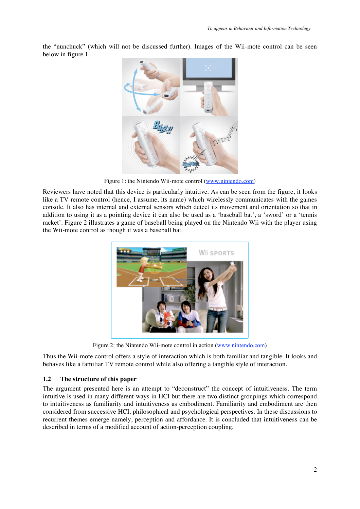the "nunchuck" (which will not be discussed further). Images of the Wii-mote control can be seen below in figure 1.



Figure 1: the Nintendo Wii-mote control (www.nintendo.com)

Reviewers have noted that this device is particularly intuitive. As can be seen from the figure, it looks like a TV remote control (hence, I assume, its name) which wirelessly communicates with the games console. It also has internal and external sensors which detect its movement and orientation so that in addition to using it as a pointing device it can also be used as a 'baseball bat', a 'sword' or a 'tennis racket'. Figure 2 illustrates a game of baseball being played on the Nintendo Wii with the player using the Wii-mote control as though it was a baseball bat.



Figure 2: the Nintendo Wii-mote control in action (www.nintendo.com)

Thus the Wii-mote control offers a style of interaction which is both familiar and tangible. It looks and behaves like a familiar TV remote control while also offering a tangible style of interaction.

# **1.2 The structure of this paper**

The argument presented here is an attempt to "deconstruct" the concept of intuitiveness. The term intuitive is used in many different ways in HCI but there are two distinct groupings which correspond to intuitiveness as familiarity and intuitiveness as embodiment. Familiarity and embodiment are then considered from successive HCI, philosophical and psychological perspectives. In these discussions to recurrent themes emerge namely, perception and affordance. It is concluded that intuitiveness can be described in terms of a modified account of action-perception coupling.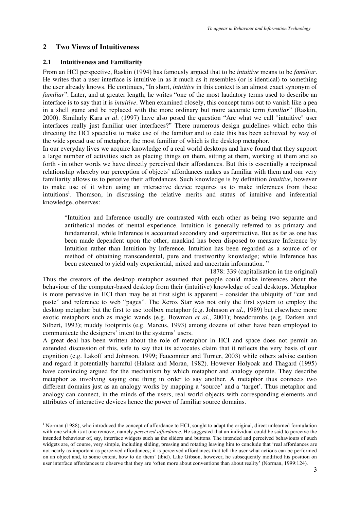# **2 Two Views of Intuitiveness**

# **2.1 Intuitiveness and Familiarity**

From an HCI perspective, Raskin (1994) has famously argued that to be *intuitive* means to be *familiar*. He writes that a user interface is intuitive in as it much as it resembles (or is identical) to something the user already knows. He continues, "In short, *intuitive* in this context is an almost exact synonym of *familiar*". Later, and at greater length, he writes "one of the most laudatory terms used to describe an interface is to say that it is *intuitive*. When examined closely, this concept turns out to vanish like a pea in a shell game and be replaced with the more ordinary but more accurate term *familiar*" (Raskin, 2000). Similarly Kara *et al*. (1997) have also posed the question "Are what we call "intuitive" user interfaces really just familiar user interfaces?" There numerous design guidelines which echo this directing the HCI specialist to make use of the familiar and to date this has been achieved by way of the wide spread use of metaphor, the most familiar of which is the desktop metaphor.

In our everyday lives we acquire knowledge of a real world desktops and have found that they support a large number of activities such as placing things on them, sitting at them, working at them and so forth - in other words we have directly perceived their affordances. But this is essentially a reciprocal relationship whereby our perception of objects' affordances makes us familiar with them and our very familiarity allows us to perceive their affordances. Such knowledge is by definition *intuitive*, however to make use of it when using an interactive device requires us to make inferences from these intuitions 1 . Thomson, in discussing the relative merits and status of intuitive and inferential knowledge, observes:

"Intuition and Inference usually are contrasted with each other as being two separate and antithetical modes of mental experience. Intuition is generally referred to as primary and fundamental, while Inference is accounted secondary and superstructive. But as far as one has been made dependent upon the other, mankind has been disposed to measure Inference by Intuition rather than Intuition by Inference. Intuition has been regarded as a source of or method of obtaining transcendental, pure and trustworthy knowledge; while Inference has been esteemed to yield only experiential, mixed and uncertain information. "

1878: 339 (capitalisation in the original) Thus the creators of the desktop metaphor assumed that people could make inferences about the behaviour of the computer-based desktop from their (intuitive) knowledge of real desktops. Metaphor is more pervasive in HCI than may be at first sight is apparent – consider the ubiquity of "cut and paste" and reference to web "pages". The Xerox Star was not only the first system to employ the desktop metaphor but the first to use toolbox metaphor (e.g. Johnson *et al.*, 1989) but elsewhere more exotic metaphors such as magic wands (e.g. Bowman *et al*., 2001); breadcrumbs (e.g. Darken and Silbert, 1993); muddy footprints (e.g. Marcus, 1993) among dozens of other have been employed to communicate the designers' intent to the systems' users.

A great deal has been written about the role of metaphor in HCI and space does not permit an extended discussion of this, safe to say that its advocates claim that it reflects the very basis of our cognition (e.g. Lakoff and Johnson, 1999; Fauconnier and Turner, 2003) while others advise caution and regard it potentially harmful (Halasz and Moran, 1982). However Holyoak and Thagard (1995) have convincing argued for the mechanism by which metaphor and analogy operate. They describe metaphor as involving saying one thing in order to say another. A metaphor thus connects two different domains just as an analogy works by mapping a 'source' and a 'target'. Thus metaphor and analogy can connect, in the minds of the users, real world objects with corresponding elements and attributes of interactive devices hence the power of familiar source domains.

<sup>&</sup>lt;sup>1</sup> Norman (1988), who introduced the concept of affordance to HCI, sought to adapt the original, direct unlearned formulation with one which is at one remove, namely *perceived affordance*. He suggested that an individual could be said to perceive the intended behaviour of, say, interface widgets such as the sliders and buttons. The intended and perceived behaviours of such widgets are, of course, very simple, including sliding, pressing and rotating leaving him to conclude that 'real affordances are not nearly as important as perceived affordances; it is perceived affordances that tell the user what actions can be performed on an object and, to some extent, how to do them' (ibid). Like Gibson, however, he subsequently modified his position on user interface affordances to observe that they are 'often more about conventions than about reality' (Norman, 1999:124).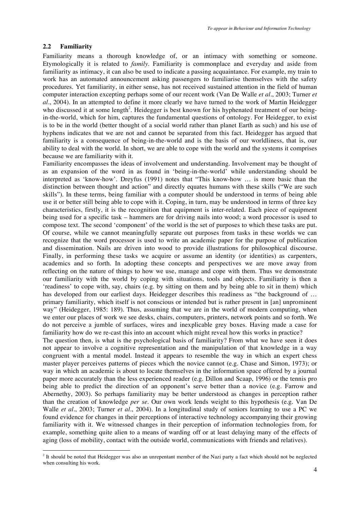#### **2.2 Familiarity**

Familiarity means a thorough knowledge of, or an intimacy with something or someone. Etymologically it is related to *family*. Familiarity is commonplace and everyday and aside from familiarity as intimacy, it can also be used to indicate a passing acquaintance. For example, my train to work has an automated announcement asking passengers to familiarise themselves with the safety procedures. Yet familiarity, in either sense, has not received sustained attention in the field of human computer interaction excepting perhaps some of our recent work (Van De Walle *et al*., 2003; Turner *et al.*, 2004). In an attempted to define it more clearly we have turned to the work of Martin Heidegger who discussed it at some length<sup>2</sup>. Heidegger is best known for his hyphenated treatment of our beingin-the-world, which for him, captures the fundamental questions of ontology. For Heidegger, to exist is to be in the world (better thought of a social world rather than planet Earth as such) and his use of hyphens indicates that we are not and cannot be separated from this fact. Heidegger has argued that familiarity is a consequence of being-in-the-world and is the basis of our worldliness, that is, our ability to deal with the world. In short, we are able to cope with the world and the systems it comprises because we are familiarity with it.

Familiarity encompasses the ideas of involvement and understanding. Involvement may be thought of as an expansion of the word in as found in 'being-in-the-world' while understanding should be interpreted as 'know-how'. Dreyfus (1991) notes that "This know-how … is more basic than the distinction between thought and action" and directly equates humans with these skills ("We are such skills"). In these terms, being familiar with a computer should be understood in terms of being able use it or better still being able to cope with it. Coping, in turn, may be understood in terms of three key characteristics, firstly, it is the recognition that equipment is inter-related. Each piece of equipment being used for a specific task – hammers are for driving nails into wood; a word processor is used to compose text. The second 'component' of the world is the set of purposes to which these tasks are put. Of course, while we cannot meaningfully separate out purposes from tasks in these worlds we can recognize that the word processor is used to write an academic paper for the purpose of publication and dissemination. Nails are driven into wood to provide illustrations for philosophical discourse. Finally, in performing these tasks we acquire or assume an identity (or identities) as carpenters, academics and so forth. In adopting these concepts and perspectives we are move away from reflecting on the nature of things to how we use, manage and cope with them. Thus we demonstrate our familiarity with the world by coping with situations, tools and objects. Familiarity is then a 'readiness' to cope with, say, chairs (e.g. by sitting on them and by being able to sit in them) which has developed from our earliest days. Heidegger describes this readiness as "the background of ... primary familiarity, which itself is not conscious or intended but is rather present in [an] unprominent way" (Heidegger, 1985: 189). Thus, assuming that we are in the world of modern computing, when we enter our places of work we see desks, chairs, computers, printers, network points and so forth. We do not perceive a jumble of surfaces, wires and inexplicable grey boxes. Having made a case for familiarity how do we re-cast this into an account which might reveal how this works in practice? The question then, is what is the psychological basis of familiarity? From what we have seen it does not appear to involve a cognitive representation and the manipulation of that knowledge in a way congruent with a mental model. Instead it appears to resemble the way in which an expert chess

master player perceives patterns of pieces which the novice cannot (e.g. Chase and Simon, 1973); or way in which an academic is about to locate themselves in the information space offered by a journal paper more accurately than the less experienced reader (e.g. Dillon and Scaap, 1996) or the tennis pro being able to predict the direction of an opponent's serve better than a novice (e.g. Farrow and Abernethy, 2003). So perhaps familiarity may be better understood as changes in perception rather than the creation of knowledge *per se*. Our own work lends weight to this hypothesis (e.g. Van De Walle *et al*., 2003; Turner *et al*., 2004). In a longitudinal study of seniors learning to use a PC we found evidence for changes in their perceptions of interactive technology accompanying their growing familiarity with it. We witnessed changes in their perception of information technologies from, for example, something quite alien to a means of warding off or at least delaying many of the effects of aging (loss of mobility, contact with the outside world, communications with friends and relatives).

 <sup>2</sup> It should be noted that Heidegger was also an unrepentant member of the Nazi party <sup>a</sup> fact which should not be neglected when consulting his work.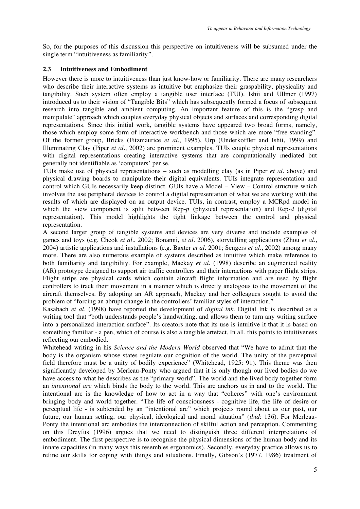So, for the purposes of this discussion this perspective on intuitiveness will be subsumed under the single term "intuitiveness as familiarity*"*.

#### **2.3 Intuitiveness and Embodiment**

However there is more to intuitiveness than just know-how or familiarity. There are many researchers who describe their interactive systems as intuitive but emphasize their graspability, physicality and tangibility. Such system often employ a tangible user interface (TUI). Ishii and Ullmer (1997) introduced us to their vision of "Tangible Bits" which has subsequently formed a focus of subsequent research into tangible and ambient computing. An important feature of this is the "grasp and manipulate" approach which couples everyday physical objects and surfaces and corresponding digital representations. Since this initial work, tangible systems have appeared two broad forms, namely, those which employ some form of interactive workbench and those which are more "free-standing". Of the former group, Bricks (Fitzmaurice *et al.*, 1995), Urp (Underkoffler and Ishii, 1999) and Illuminating Clay (Piper *et al.*, 2002) are prominent examples. TUIs couple physical representations with digital representations creating interactive systems that are computationally mediated but generally not identifiable as 'computers' per se.

TUIs make use of physical representations – such as modelling clay (as in Piper *et al.* above) and physical drawing boards to manipulate their digital equivalents. TUIs integrate representation and control which GUIs necessarily keep distinct. GUIs have a Model – View – Control structure which involves the use peripheral devices to control a digital representation of what we are working with the results of which are displayed on an output device. TUIs, in contrast, employ a MCRpd model in which the view component is split between Rep-*p* (physical representation) and Rep-*d* (digital representation). This model highlights the tight linkage between the control and physical representation.

A second larger group of tangible systems and devices are very diverse and include examples of games and toys (e.g. Cheok *et al*., 2002; Bonanni, *et al*. 2006), storytelling applications (Zhou *et al*., 2004) artistic applications and installations (e.g. Baxter *et al*. 2001; Sengers *et al.*, 2002) among many more. There are also numerous example of systems described as intuitive which make reference to both familiarity and tangibility. For example, Mackay *et al*. (1998) describe an augmented reality (AR) prototype designed to support air traffic controllers and their interactions with paper flight strips. Flight strips are physical cards which contain aircraft flight information and are used by flight controllers to track their movement in a manner which is directly analogous to the movement of the aircraft themselves. By adopting an AR approach, Mackay and her colleagues sought to avoid the problem of "forcing an abrupt change in the controllers' familiar styles of interaction."

Kasabach *et al*. (1998) have reported the development of *digital ink.* Digital Ink is described as a writing tool that "both understands people's handwriting, and allows them to turn any writing surface into a personalized interaction surface". Its creators note that its use is intuitive it that it is based on something familiar - a pen, which of course is also a tangible artefact. In all, this points to intuitiveness reflecting our embodied.

Whitehead writing in his *Science and the Modern World* observed that "We have to admit that the body is the organism whose states regulate our cognition of the world. The unity of the perceptual field therefore must be a unity of bodily experience" (Whitehead, 1925: 91). This theme was then significantly developed by Merleau-Ponty who argued that it is only though our lived bodies do we have access to what he describes as the "primary world". The world and the lived body together form an *intentional arc* which binds the body to the world. This arc anchors us in and to the world. The intentional arc is the knowledge of how to act in a way that "coheres" with one's environment bringing body and world together. "The life of consciousness - cognitive life, the life of desire or perceptual life - is subtended by an "intentional arc" which projects round about us our past, our future, our human setting, our physical, ideological and moral situation" (*ibid*: 136). For Merleau-Ponty the intentional arc embodies the interconnection of skilful action and perception. Commenting on this Dreyfus (1996) argues that we need to distinguish three different interpretations of embodiment. The first perspective is to recognise the physical dimensions of the human body and its innate capacities (in many ways this resembles ergonomics). Secondly, everyday practice allows us to refine our skills for coping with things and situations. Finally, Gibson's (1977, 1986) treatment of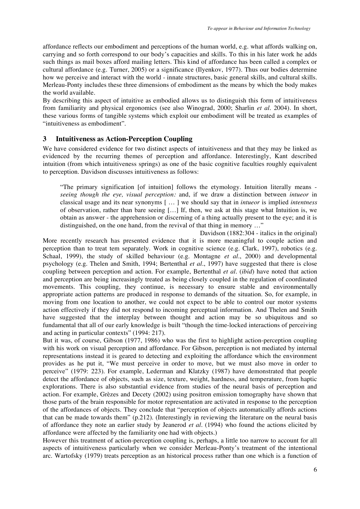affordance reflects our embodiment and perceptions of the human world, e.g. what affords walking on, carrying and so forth correspond to our body's capacities and skills. To this in his later work he adds such things as mail boxes afford mailing letters. This kind of affordance has been called a complex or cultural affordance (e.g. Turner, 2005) or a significance (Ilyenkov, 1977). Thus our bodies determine how we perceive and interact with the world - innate structures, basic general skills, and cultural skills. Merleau-Ponty includes these three dimensions of embodiment as the means by which the body makes the world available.

By describing this aspect of intuitive as embodied allows us to distinguish this form of intuitiveness from familiarity and physical ergonomics (see also Winograd, 2000; Sharlin *et al*. 2004). In short, these various forms of tangible systems which exploit our embodiment will be treated as examples of "intuitiveness as embodiment".

# **3 Intuitiveness as Action-Perception Coupling**

We have considered evidence for two distinct aspects of intuitiveness and that they may be linked as evidenced by the recurring themes of perception and affordance. Interestingly, Kant described intuition (from which intuitiveness springs) as one of the basic cognitive faculties roughly equivalent to perception. Davidson discusses intuitiveness as follows:

"The primary signification [of intuition] follows the etymology. Intuition literally means *seeing though the eye, visual perception:* and, if we draw a distinction between *intueor* in classical usage and its near synonyms [ … ] we should say that in *intueor* is implied *intentness* of observation, rather than bare seeing […] If, then, we ask at this stage what Intuition is, we obtain as answer - the apprehension or discerning of a thing actually present to the eye; and it is distinguished, on the one hand, from the revival of that thing in memory ..."

Davidson (1882:304 - italics in the original) More recently research has presented evidence that it is more meaningful to couple action and perception than to treat tem separately. Work in cognitive science (e.g. Clark, 1997), robotics (e.g. Schaal, 1999), the study of skilled behaviour (e.g. Montagne *et al.*, 2000) and developmental psychology (e.g. Thelen and Smith, 1994; Bertenthal *et al*., 1997) have suggested that there is close coupling between perception and action. For example, Bertenthal *et al.* (*ibid*) have noted that action and perception are being increasingly treated as being closely coupled in the regulation of coordinated movements. This coupling, they continue, is necessary to ensure stable and environmentally appropriate action patterns are produced in response to demands of the situation. So, for example, in moving from one location to another, we could not expect to be able to control our motor systems action effectively if they did not respond to incoming perceptual information. And Thelen and Smith have suggested that the interplay between thought and action may be so ubiquitous and so fundamental that all of our early knowledge is built "though the time-locked interactions of perceiving and acting in particular contexts" (1994: 217).

But it was, of course, Gibson (1977, 1986) who was the first to highlight action-perception coupling with his work on visual perception and affordance. For Gibson, perception is not mediated by internal representations instead it is geared to detecting and exploiting the affordance which the environment provides as he put it, "We must perceive in order to move, but we must also move in order to perceive" (1979: 223). For example, Lederman and Klatzky (1987) have demonstrated that people detect the affordance of objects, such as size, texture, weight, hardness, and temperature, from haptic explorations. There is also substantial evidence from studies of the neural basis of perception and action. For example, Grèzes and Decety (2002) using positron emission tomography have shown that those parts of the brain responsible for motor representation are activated in response to the perception of the affordances of objects. They conclude that "perception of objects automatically affords actions that can be made towards them" (p.212). (Interestingly in reviewing the literature on the neural basis of affordance they note an earlier study by Jeanerod *et al*. (1994) who found the actions elicited by affordance were affected by the familiarity one had with objects.)

However this treatment of action-perception coupling is, perhaps, a little too narrow to account for all aspects of intuitiveness particularly when we consider Merleau-Ponty's treatment of the intentional arc. Wartofsky (1979) treats perception as an historical process rather than one which is a function of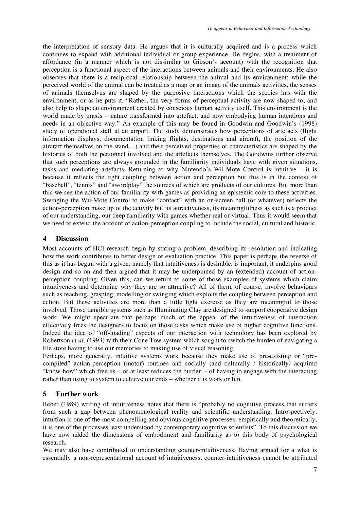the interpretation of sensory data. He argues that it is culturally acquired and is a process which continues to expand with additional individual or group experience. He begins, with a treatment of affordance (in a manner which is not dissimilar to Gibson's account) with the recognition that perception is a functional aspect of the interactions between animals and their environments. He also observes that there is a reciprocal relationship between the animal and its environment: while the perceived world of the animal can be treated as a map or an image of the animals activities, the senses of animals themselves are shaped by the purposive interactions which the species has with the environment, or as he puts it, "Rather, the very forms of perceptual activity are now shaped to, and also help to shape an environment created by conscious human activity itself. This environment is the world made by praxis – nature transformed into artefact, and now embodying human intentions and needs in an objective way." An example of this may be found in Goodwin and Goodwin's (1998) study of operational staff at an airport. The study demonstrates how perceptions of artefacts (flight information displays, documentation linking flights, destinations and aircraft, the position of the aircraft themselves on the stand…) and their perceived properties or characteristics are shaped by the histories of both the personnel involved and the artefacts themselves. The Goodwins further observe that such perceptions are always grounded in the familiarity individuals have with given situations, tasks and mediating artefacts. Returning to why Nintendo's Wii-Mote Control is intuitive – it is because it reflects the tight coupling between action and perception but this is in the context of "baseball", "tennis" and "swordplay" the sources of which are products of our cultures. But more than this we see the action of our familiarity with games as providing an epistemic core to these activities. Swinging the Wii-Mote Control to make "contact" with an on-screen ball (or whatever) reflects the action-perception make up of the activity but its attractiveness, its meaningfulness as such is a product of our understanding, our deep familiarity with games whether real or virtual. Thus it would seem that we need to extend the account of action-perception coupling to include the social, cultural and historic.

### **4 Discussion**

Most accounts of HCI research begin by stating a problem, describing its resolution and indicating how the work contributes to better design or evaluation practice. This paper is perhaps the reverse of this as it has begun with a given, namely that intuitiveness is desirable, is important, it underpins good design and so on and then argued that it may be underpinned by an (extended) account of actionperception coupling. Given this, can we return to some of those examples of systems which claim intuitiveness and determine why they are so attractive? All of them, of course, involve behaviours such as reaching, grasping, modelling or swinging which exploits the coupling between perception and action. But these activities are more than a little light exercise as they are meaningful to those involved. Those tangible systems such as Illuminating Clay are designed to support cooperative design work. We might speculate that perhaps much of the appeal of the intuitiveness of interaction effectively frees the designers to focus on those tasks which make use of higher cognitive functions. Indeed the idea of "off-loading" aspects of our interaction with technology has been explored by Robertson *et al*. (1993) with their Cone Tree system which sought to switch the burden of navigating a file store having to use our memories to making use of visual reasoning.

Perhaps, more generally, intuitive systems work because they make use of pre-existing or "precompiled" action-perception (motor) routines and socially (and culturally / historically) acquired "know-how" which free us – or at least reduces the burden – of having to engage with the interacting rather than using to system to achieve our ends – whether it is work or fun.

### **5 Further work**

Reber (1989) writing of intuitiveness notes that there is "probably no cognitive process that suffers from such a gap between phenomenological reality and scientific understanding. Introspectively, intuition is one of the most compelling and obvious cognitive processes; empirically and theoretically, it is one of the processes least understood by contemporary cognitive scientists". To this discussion we have now added the dimensions of embodiment and familiarity as to this body of psychological research.

We may also have contributed to understanding counter-intuitiveness. Having argued for a what is essentially a non-representational account of intuitiveness, counter-intuitiveness cannot be attributed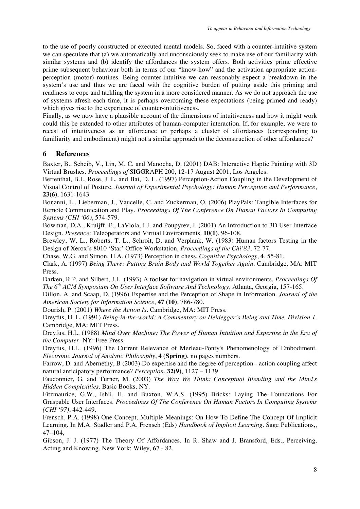to the use of poorly constructed or executed mental models. So, faced with a counter-intuitive system we can speculate that (a) we automatically and unconsciously seek to make use of our familiarity with similar systems and (b) identify the affordances the system offers. Both activities prime effective prime subsequent behaviour both in terms of our "know-how" and the activation appropriate actionperception (motor) routines. Being counter-intuitive we can reasonably expect a breakdown in the system's use and thus we are faced with the cognitive burden of putting aside this priming and readiness to cope and tackling the system in a more considered manner. As we do not approach the use of systems afresh each time, it is perhaps overcoming these expectations (being primed and ready) which gives rise to the experience of counter-intuitiveness.

Finally, as we now have a plausible account of the dimensions of intuitiveness and how it might work could this be extended to other attributes of human-computer interaction. If, for example, we were to recast of intuitiveness as an affordance or perhaps a cluster of affordances (corresponding to familiarity and embodiment) might not a similar approach to the deconstruction of other affordances?

# **6 References**

Baxter, B., Scheib, V., Lin, M. C. and Manocha, D. (2001) DAB: Interactive Haptic Painting with 3D Virtual Brushes. *Proceedings of* SIGGRAPH 200, 12-17 August 2001, Los Angeles.

Bertenthal, B.I., Rose, J. L. and Bai, D. L. (1997) Perception-Action Coupling in the Development of Visual Control of Posture. *Journal of Experimental Psychology: Human Perception and Performance*, **23(6)**, 1631-1643

Bonanni, L., Lieberman, J., Vaucelle, C. and Zuckerman, O. (2006) PlayPals: Tangible Interfaces for Remote Communication and Play. *Proceedings Of The Conference On Human Factors In Computing Systems (CHI '06)*, 574-579.

Bowman, D.A., Kruijff, E., LaViola, J.J. and Poupyrev, I. (2001) An Introduction to 3D User Interface Design. *Presence*: Teleoperators and Virtual Environments. **10(1)**, 96-108.

Brewley, W. L., Roberts, T. L., Schroit, D. and Verplank, W. (1983) Human factors Testing in the Design of Xerox's 8010 'Star' Office Workstation, *Proceedings of the Chi'83*, 72-77.

Chase, W.G. and Simon, H.A. (1973) Perception in chess. *Cognitive Psychology*, **4**, 55-81.

Clark, A. (1997) *Being There: Putting Brain Body and World Together Again*. Cambridge, MA: MIT Press.

Darken, R.P. and Silbert, J.L. (1993) A toolset for navigation in virtual environments. *Proceedings Of The 6th ACM Symposium On User Interface Software And Technology*, Atlanta, Georgia, 157-165.

Dillon, A. and Scaap, D. (1996) Expertise and the Perception of Shape in Information. *Journal of the American Society for Information Science*, **47 (10)**, 786-780.

Dourish, P. (2001) *Where the Action Is*. Cambridge, MA: MIT Press.

Dreyfus, H. L. (1991) *Being-in-the-world: A Commentary on Heidegger's Being and Time, Division 1*. Cambridge, MA: MIT Press.

Dreyfus, H.L. (1988) *Mind Over Machine: The Power of Human Intuition and Expertise in the Era of the Computer*. NY: Free Press.

Dreyfus, H.L. (1996) The Current Relevance of Merleau-Ponty's Phenomenology of Embodiment. *Electronic Journal of Analytic Philosophy*, **4 (Spring)**, no pages numbers.

Farrow, D. and Abernethy, B (2003) Do expertise and the degree of perception - action coupling affect natural anticipatory performance? *Perception*, **32(9)**, 1127 – 1139

Fauconnier, G. and Turner, M. (2003) *The Way We Think: Conceptual Blending and the Mind's Hidden Complexities*. Basic Books, NY.

Fitzmaurice, G.W., Ishii, H. and Buxton, W.A.S. (1995) Bricks: Laying The Foundations For Graspable User Interfaces. *Proceedings Of The Conference On Human Factors In Computing Systems (CHI '97)*, 442-449.

Frensch, P.A. (1998) One Concept, Multiple Meanings: On How To Define The Concept Of Implicit Learning. In M.A. Stadler and P.A. Frensch (Eds) *Handbook of Implicit Learning*. Sage Publications,, 47–104,

Gibson, J. J. (1977) The Theory Of Affordances. In R. Shaw and J. Bransford, Eds., Perceiving, Acting and Knowing. New York: Wiley, 67 - 82.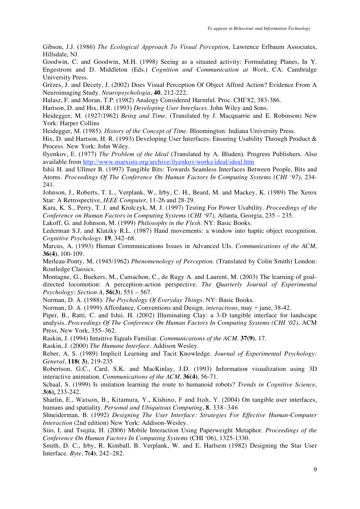Gibson, J.J. (1986) *The Ecological Approach To Visual Perception*, Lawrence Erlbaum Associates, Hillsdale, NJ.

Goodwin, C. and Goodwin, M.H. (1998) Seeing as a situated activity: Formulating Planes, In Y. Engestrom and D. Middleton (Eds.) *Cognition and Communication at Work*, CA: Cambridge University Press.

Grèzes, J. and Decety, J. (2002) Does Visual Perception Of Object Afford Action? Evidence From A Neuroimaging Study. *Neuropsychologia*, **40**, 212-222.

Halasz, F. and Moran, T.P. (1982) Analogy Considered Harmful. Proc. CHI'82, 383-386.

Hartson, D. and Hix, H.R. (1993) *Developing User Interfaces*. John Wiley and Sons.

Heidegger, M. (1927/1962) *Being and Time*. (Translated by J. Macquarrie and E. Robinson) New York: Harper Collins

Heidegger, M. (1985). *History of the Concept of Time*. Bloomington: Indiana University Press.

Hix, D. and Hartson, H. R. (1993) Developing User Interfaces: Ensuring Usability Through Product & Process. New York: John Wiley.

Ilyenkov, E. (1977) *The Problem of the Ideal* (Translated by A. Bluden). Progress Publishers. Also available from http://www.marxists.org/archive/ilyenkov/works/ideal/ideal.htm

Ishii H. and Ullmer B. (1997) Tangible Bits: Towards Seamless Interfaces Between People, Bits and Atoms. *Proceedings Of The Conference On Human Factors In Computing Systems (CHI '97)*, 234- 241.

Johnson, J., Roberts, T. L., Verplank, W., Irby, C. H., Beard, M. and Mackey, K. (1989) The Xerox Star: A Retrospective, *IEEE Computer*, 11-26 and 28-29.

Kara, K. S., Perry, T. J. and Krolczyk, M. J. (1997) Testing For Power Usability. *Proceedings of the Conference on Human Factors in Computing Systems (CHI '97)*, Atlanta, Georgia, 235 – 235.

Lakoff, G. and Johnson, M. (1999) *Philosophy in the Flesh*. NY: Basic Books.

Lederman S.J. and Klatzky R.L. (1987) Hand movements: a window into haptic object recognition. *Cognitive Psychology*. **19**, 342–68.

Marcus, A. (1993) Human Communications Issues in Advanced UIs. *Communications of the ACM*, **36(4)**, 100-109.

Merleau-Ponty, M. (1945/1962) *Phenomenology of Perception*. (Translated by Colin Smith) London: Routledge Classics.

Montagne, G*.*, Buekers, M., Camachon, C., de Rugy A. and Laurent, M. (2003) The learning of goaldirected locomotion: A perception-action perspective. *The Quarterly Journal of Experimental Psychology: Section A*, **56(3)**, 551 – 567.

Norman, D. A. (1988). *The Psychology Of Everyday Things*. NY: Basic Books.

Norman, D. A. (1999) Affordance, Conventions and Design. *interactions*, may + june, 38-42.

Piper, B., Ratti, C. and Ishii, H. (2002) Illuminating Clay: a 3-D tangible interface for landscape analysis. *Proceedings Of The Conference On Human Factors In Computing Systems (CHI '02)*, ACM Press, New York, 355–362.

Raskin, J. (1994) Intuitive Equals Familiar. *Communications of the ACM*. **37(9)**, 17.

Raskin, J. (2000) *The Humane Interface*. Addison Wesley.

Reber, A. S. (1989) Implicit Learning and Tacit Knowledge. *Journal of Experimental Psychology: General*, **118( 3)**, 219-235

Robertson, G.C., Card, S.K. and MacKinlay, J.D. (1993) Information visualization using 3D interactive animation. *Communications of the ACM*, **36(4)**, 56-71.

Schaal, S. (1999) Is imitation learning the route to humanoid robots? *Trends in Cognitive Science*, **3(6),** 233-242.

Sharlin, E., Watson, B., Kitamura, Y., Kishino, F and Itoh, Y. (2004) On tangible user interfaces, humans and spatiality. *Personal and Ubiquitous Computing*, **8**, 338–346

Shneiderman, B. (1992) *Designing The User Interface: Strategies For Effective Human-Computer Interaction* (2nd edition) New York: Addison-Wesley.

Siio, I. and Tsujita, H. (2006) Mobile Interaction Using Paperweight Metaphor. *Proceedings of the Conference On Human Factors In Computing Systems* (CHI '06), 1325-1330.

Smith, D. C., Irby, R. Kimball, B. Verplank, W. and E. Harlsem (1982) Designing the Star User Interface. *Byte*, **7(4)**, 242–282.